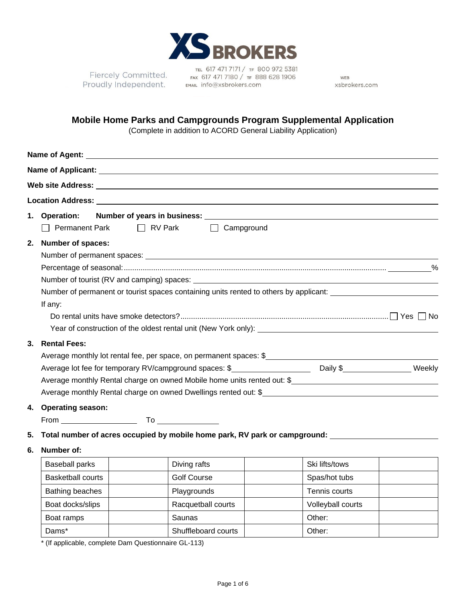

Fiercely Committed. Proudly Independent.

TEL 617 471 7171 / TF 800 972 5381 FAX 617 471 7180 / TF 888 628 1906 EMAIL info@xsbrokers.com

WEB xsbrokers.com

## **Mobile Home Parks and Campgrounds Program Supplemental Application**

(Complete in addition to ACORD General Liability Application)

|                                                                                                                                                  | 1. Operation:                                                            |               | Number of years in business:<br>Number of years in business:                                        |  |                   |  |  |
|--------------------------------------------------------------------------------------------------------------------------------------------------|--------------------------------------------------------------------------|---------------|-----------------------------------------------------------------------------------------------------|--|-------------------|--|--|
|                                                                                                                                                  | □ Permanent Park                                                         |               | □ RV Park □ Campground                                                                              |  |                   |  |  |
| 2.                                                                                                                                               | <b>Number of spaces:</b>                                                 |               |                                                                                                     |  |                   |  |  |
|                                                                                                                                                  |                                                                          |               |                                                                                                     |  |                   |  |  |
|                                                                                                                                                  |                                                                          | $\frac{0}{0}$ |                                                                                                     |  |                   |  |  |
|                                                                                                                                                  |                                                                          |               |                                                                                                     |  |                   |  |  |
|                                                                                                                                                  |                                                                          |               | Number of permanent or tourist spaces containing units rented to others by applicant:               |  |                   |  |  |
|                                                                                                                                                  | If any:                                                                  |               |                                                                                                     |  |                   |  |  |
|                                                                                                                                                  |                                                                          |               |                                                                                                     |  |                   |  |  |
| Year of construction of the oldest rental unit (New York only): [14] The construction of construction of the oldest rental unit (New York only): |                                                                          |               |                                                                                                     |  |                   |  |  |
| <b>Rental Fees:</b><br>3.                                                                                                                        |                                                                          |               |                                                                                                     |  |                   |  |  |
|                                                                                                                                                  | Average monthly lot rental fee, per space, on permanent spaces: \$       |               |                                                                                                     |  |                   |  |  |
|                                                                                                                                                  |                                                                          |               |                                                                                                     |  |                   |  |  |
|                                                                                                                                                  | Average monthly Rental charge on owned Mobile home units rented out: $$$ |               |                                                                                                     |  |                   |  |  |
|                                                                                                                                                  | Average monthly Rental charge on owned Dwellings rented out: \$          |               |                                                                                                     |  |                   |  |  |
| 4. Operating season:                                                                                                                             |                                                                          |               |                                                                                                     |  |                   |  |  |
|                                                                                                                                                  |                                                                          |               |                                                                                                     |  |                   |  |  |
| 5.                                                                                                                                               |                                                                          |               | Total number of acres occupied by mobile home park, RV park or campground: ________________________ |  |                   |  |  |
| 6.                                                                                                                                               | Number of:                                                               |               |                                                                                                     |  |                   |  |  |
|                                                                                                                                                  | <b>Baseball parks</b>                                                    |               | Diving rafts                                                                                        |  | Ski lifts/tows    |  |  |
|                                                                                                                                                  | <b>Basketball courts</b>                                                 |               | <b>Golf Course</b>                                                                                  |  | Spas/hot tubs     |  |  |
|                                                                                                                                                  | Bathing beaches                                                          |               | Playgrounds                                                                                         |  | Tennis courts     |  |  |
|                                                                                                                                                  | Boat docks/slips                                                         |               | Racquetball courts                                                                                  |  | Volleyball courts |  |  |
|                                                                                                                                                  | Boat ramps                                                               |               | Saunas                                                                                              |  | Other:            |  |  |

\* (If applicable, complete Dam Questionnaire GL-113)

Dams\* | Shuffleboard courts | Other: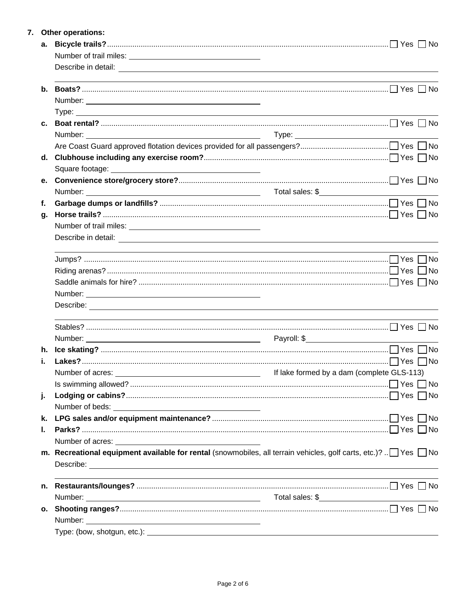|    | 7. Other operations:                                                                                                                                                                                                                 |                                                                                                                  |  |  |  |  |  |
|----|--------------------------------------------------------------------------------------------------------------------------------------------------------------------------------------------------------------------------------------|------------------------------------------------------------------------------------------------------------------|--|--|--|--|--|
| а. |                                                                                                                                                                                                                                      | Yes  <br>l No                                                                                                    |  |  |  |  |  |
|    |                                                                                                                                                                                                                                      |                                                                                                                  |  |  |  |  |  |
|    |                                                                                                                                                                                                                                      |                                                                                                                  |  |  |  |  |  |
|    |                                                                                                                                                                                                                                      |                                                                                                                  |  |  |  |  |  |
|    |                                                                                                                                                                                                                                      |                                                                                                                  |  |  |  |  |  |
|    |                                                                                                                                                                                                                                      |                                                                                                                  |  |  |  |  |  |
|    |                                                                                                                                                                                                                                      |                                                                                                                  |  |  |  |  |  |
|    |                                                                                                                                                                                                                                      |                                                                                                                  |  |  |  |  |  |
|    |                                                                                                                                                                                                                                      |                                                                                                                  |  |  |  |  |  |
|    |                                                                                                                                                                                                                                      |                                                                                                                  |  |  |  |  |  |
|    |                                                                                                                                                                                                                                      |                                                                                                                  |  |  |  |  |  |
|    |                                                                                                                                                                                                                                      |                                                                                                                  |  |  |  |  |  |
|    |                                                                                                                                                                                                                                      |                                                                                                                  |  |  |  |  |  |
| f. |                                                                                                                                                                                                                                      |                                                                                                                  |  |  |  |  |  |
| g. |                                                                                                                                                                                                                                      |                                                                                                                  |  |  |  |  |  |
|    |                                                                                                                                                                                                                                      |                                                                                                                  |  |  |  |  |  |
|    |                                                                                                                                                                                                                                      |                                                                                                                  |  |  |  |  |  |
|    |                                                                                                                                                                                                                                      |                                                                                                                  |  |  |  |  |  |
|    |                                                                                                                                                                                                                                      | l No                                                                                                             |  |  |  |  |  |
|    |                                                                                                                                                                                                                                      |                                                                                                                  |  |  |  |  |  |
|    |                                                                                                                                                                                                                                      |                                                                                                                  |  |  |  |  |  |
|    | Describe: <u>with the contract of the contract of the contract of the contract of the contract of the contract of the contract of the contract of the contract of the contract of the contract of the contract of the contract o</u> |                                                                                                                  |  |  |  |  |  |
|    |                                                                                                                                                                                                                                      |                                                                                                                  |  |  |  |  |  |
|    |                                                                                                                                                                                                                                      |                                                                                                                  |  |  |  |  |  |
|    |                                                                                                                                                                                                                                      |                                                                                                                  |  |  |  |  |  |
|    |                                                                                                                                                                                                                                      |                                                                                                                  |  |  |  |  |  |
|    | Number of acres: 113)                                                                                                                                                                                                                |                                                                                                                  |  |  |  |  |  |
|    |                                                                                                                                                                                                                                      |                                                                                                                  |  |  |  |  |  |
| j. |                                                                                                                                                                                                                                      |                                                                                                                  |  |  |  |  |  |
|    |                                                                                                                                                                                                                                      |                                                                                                                  |  |  |  |  |  |
| k. |                                                                                                                                                                                                                                      |                                                                                                                  |  |  |  |  |  |
| L. |                                                                                                                                                                                                                                      |                                                                                                                  |  |  |  |  |  |
|    |                                                                                                                                                                                                                                      |                                                                                                                  |  |  |  |  |  |
|    | m. Recreational equipment available for rental (snowmobiles, all terrain vehicles, golf carts, etc.)? $\Box$ Yes $\Box$ No                                                                                                           |                                                                                                                  |  |  |  |  |  |
|    |                                                                                                                                                                                                                                      |                                                                                                                  |  |  |  |  |  |
| n. |                                                                                                                                                                                                                                      | and the control of the control of the control of the control of the control of the control of the control of the |  |  |  |  |  |
|    |                                                                                                                                                                                                                                      |                                                                                                                  |  |  |  |  |  |
|    |                                                                                                                                                                                                                                      |                                                                                                                  |  |  |  |  |  |
|    |                                                                                                                                                                                                                                      |                                                                                                                  |  |  |  |  |  |
|    |                                                                                                                                                                                                                                      |                                                                                                                  |  |  |  |  |  |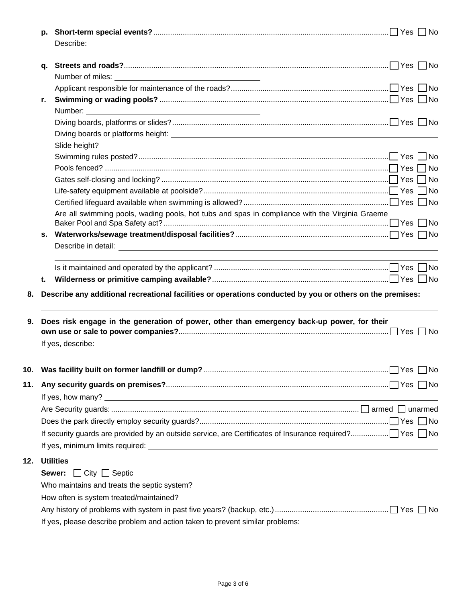| q. |                                                                                                                                                                                                                                      |  |
|----|--------------------------------------------------------------------------------------------------------------------------------------------------------------------------------------------------------------------------------------|--|
|    |                                                                                                                                                                                                                                      |  |
|    |                                                                                                                                                                                                                                      |  |
| r. |                                                                                                                                                                                                                                      |  |
|    |                                                                                                                                                                                                                                      |  |
|    |                                                                                                                                                                                                                                      |  |
|    |                                                                                                                                                                                                                                      |  |
|    |                                                                                                                                                                                                                                      |  |
|    |                                                                                                                                                                                                                                      |  |
|    |                                                                                                                                                                                                                                      |  |
|    |                                                                                                                                                                                                                                      |  |
|    |                                                                                                                                                                                                                                      |  |
|    |                                                                                                                                                                                                                                      |  |
|    | Are all swimming pools, wading pools, hot tubs and spas in compliance with the Virginia Graeme                                                                                                                                       |  |
| S. |                                                                                                                                                                                                                                      |  |
|    | Describe in detail: <u>example and the set of the set of the set of the set of the set of the set of the set of the set of the set of the set of the set of the set of the set of the set of the set of the set of the set of th</u> |  |
| t. | Describe any additional recreational facilities or operations conducted by you or others on the premises:                                                                                                                            |  |
|    | Does risk engage in the generation of power, other than emergency back-up power, for their                                                                                                                                           |  |
|    |                                                                                                                                                                                                                                      |  |
|    |                                                                                                                                                                                                                                      |  |
|    |                                                                                                                                                                                                                                      |  |
|    |                                                                                                                                                                                                                                      |  |
|    |                                                                                                                                                                                                                                      |  |
|    |                                                                                                                                                                                                                                      |  |
|    |                                                                                                                                                                                                                                      |  |
|    |                                                                                                                                                                                                                                      |  |
|    | <b>Utilities</b>                                                                                                                                                                                                                     |  |
|    |                                                                                                                                                                                                                                      |  |
|    | <b>Sewer:</b> $\Box$ City $\Box$ Septic                                                                                                                                                                                              |  |
|    |                                                                                                                                                                                                                                      |  |
|    |                                                                                                                                                                                                                                      |  |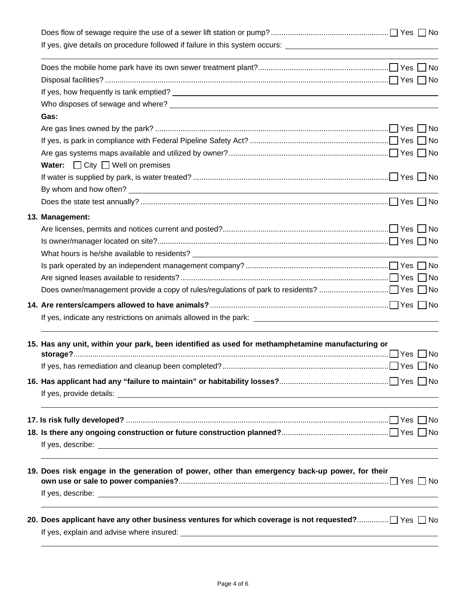| If yes, give details on procedure followed if failure in this system occurs: _________________________________                                                                     |  |
|------------------------------------------------------------------------------------------------------------------------------------------------------------------------------------|--|
| <u> 1989 - Johann Stoff, amerikansk politiker (* 1908)</u>                                                                                                                         |  |
|                                                                                                                                                                                    |  |
|                                                                                                                                                                                    |  |
|                                                                                                                                                                                    |  |
| Gas:                                                                                                                                                                               |  |
|                                                                                                                                                                                    |  |
|                                                                                                                                                                                    |  |
|                                                                                                                                                                                    |  |
| <b>Water:</b> $\Box$ City $\Box$ Well on premises                                                                                                                                  |  |
|                                                                                                                                                                                    |  |
|                                                                                                                                                                                    |  |
|                                                                                                                                                                                    |  |
| 13. Management:                                                                                                                                                                    |  |
|                                                                                                                                                                                    |  |
|                                                                                                                                                                                    |  |
|                                                                                                                                                                                    |  |
|                                                                                                                                                                                    |  |
|                                                                                                                                                                                    |  |
|                                                                                                                                                                                    |  |
|                                                                                                                                                                                    |  |
|                                                                                                                                                                                    |  |
| 15. Has any unit, within your park, been identified as used for methamphetamine manufacturing or                                                                                   |  |
|                                                                                                                                                                                    |  |
|                                                                                                                                                                                    |  |
|                                                                                                                                                                                    |  |
|                                                                                                                                                                                    |  |
| ,我们也不能在这里的时候,我们也不能会在这里,我们也不能会在这里的时候,我们也不能会在这里的时候,我们也不能会在这里的时候,我们也不能会在这里的时候,我们也不能                                                                                                   |  |
|                                                                                                                                                                                    |  |
|                                                                                                                                                                                    |  |
| ,我们也不会有什么。""我们的人,我们也不会有什么?""我们的人,我们也不会有什么?""我们的人,我们也不会有什么?""我们的人,我们也不会有什么?""我们的人<br>19. Does risk engage in the generation of power, other than emergency back-up power, for their |  |
|                                                                                                                                                                                    |  |
| 20. Does applicant have any other business ventures for which coverage is not requested? $\Box$ Yes $\Box$ No                                                                      |  |
|                                                                                                                                                                                    |  |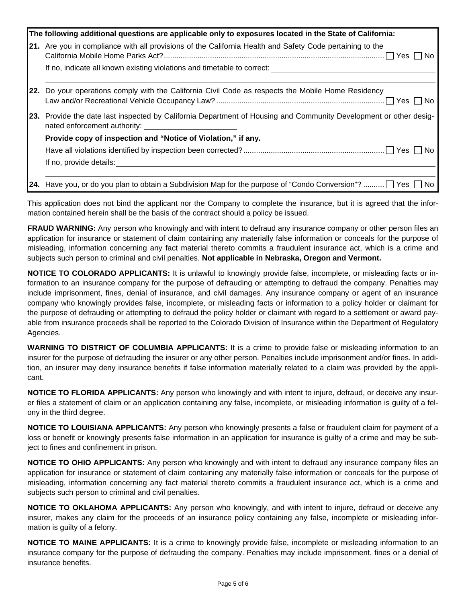| The following additional questions are applicable only to exposures located in the State of California:                                           |  |  |
|---------------------------------------------------------------------------------------------------------------------------------------------------|--|--|
| 21. Are you in compliance with all provisions of the California Health and Safety Code pertaining to the                                          |  |  |
| If no, indicate all known existing violations and timetable to correct:                                                                           |  |  |
| 22. Do your operations comply with the California Civil Code as respects the Mobile Home Residency                                                |  |  |
| 23. Provide the date last inspected by California Department of Housing and Community Development or other desig-<br>nated enforcement authority: |  |  |
| Provide copy of inspection and "Notice of Violation," if any.                                                                                     |  |  |
|                                                                                                                                                   |  |  |
| If no, provide details:                                                                                                                           |  |  |
| <b>24.</b> Have you, or do you plan to obtain a Subdivision Map for the purpose of "Condo Conversion"? $\Box$ Yes $\Box$ No                       |  |  |

This application does not bind the applicant nor the Company to complete the insurance, but it is agreed that the information contained herein shall be the basis of the contract should a policy be issued.

**FRAUD WARNING:** Any person who knowingly and with intent to defraud any insurance company or other person files an application for insurance or statement of claim containing any materially false information or conceals for the purpose of misleading, information concerning any fact material thereto commits a fraudulent insurance act, which is a crime and subjects such person to criminal and civil penalties. **Not applicable in Nebraska, Oregon and Vermont.**

**NOTICE TO COLORADO APPLICANTS:** It is unlawful to knowingly provide false, incomplete, or misleading facts or information to an insurance company for the purpose of defrauding or attempting to defraud the company. Penalties may include imprisonment, fines, denial of insurance, and civil damages. Any insurance company or agent of an insurance company who knowingly provides false, incomplete, or misleading facts or information to a policy holder or claimant for the purpose of defrauding or attempting to defraud the policy holder or claimant with regard to a settlement or award payable from insurance proceeds shall be reported to the Colorado Division of Insurance within the Department of Regulatory Agencies.

**WARNING TO DISTRICT OF COLUMBIA APPLICANTS:** It is a crime to provide false or misleading information to an insurer for the purpose of defrauding the insurer or any other person. Penalties include imprisonment and/or fines. In addition, an insurer may deny insurance benefits if false information materially related to a claim was provided by the applicant.

**NOTICE TO FLORIDA APPLICANTS:** Any person who knowingly and with intent to injure, defraud, or deceive any insurer files a statement of claim or an application containing any false, incomplete, or misleading information is guilty of a felony in the third degree.

**NOTICE TO LOUISIANA APPLICANTS:** Any person who knowingly presents a false or fraudulent claim for payment of a loss or benefit or knowingly presents false information in an application for insurance is guilty of a crime and may be subject to fines and confinement in prison.

**NOTICE TO OHIO APPLICANTS:** Any person who knowingly and with intent to defraud any insurance company files an application for insurance or statement of claim containing any materially false information or conceals for the purpose of misleading, information concerning any fact material thereto commits a fraudulent insurance act, which is a crime and subjects such person to criminal and civil penalties.

**NOTICE TO OKLAHOMA APPLICANTS:** Any person who knowingly, and with intent to injure, defraud or deceive any insurer, makes any claim for the proceeds of an insurance policy containing any false, incomplete or misleading information is guilty of a felony.

**NOTICE TO MAINE APPLICANTS:** It is a crime to knowingly provide false, incomplete or misleading information to an insurance company for the purpose of defrauding the company. Penalties may include imprisonment, fines or a denial of insurance benefits.